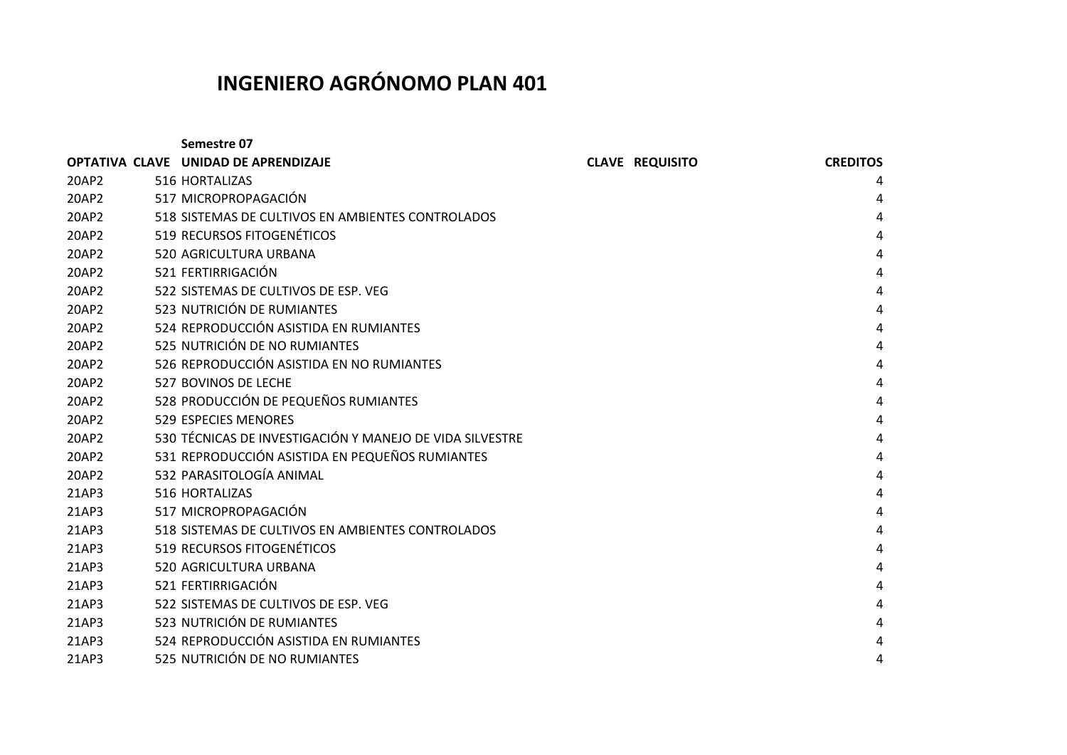## **INGENIERO AGRÓNOMO PLAN 401**

|       | Semestre 07                                              |                        |                 |
|-------|----------------------------------------------------------|------------------------|-----------------|
|       | OPTATIVA CLAVE UNIDAD DE APRENDIZAJE                     | <b>CLAVE REQUISITO</b> | <b>CREDITOS</b> |
| 20AP2 | 516 HORTALIZAS                                           |                        | 4               |
| 20AP2 | 517 MICROPROPAGACIÓN                                     |                        | 4               |
| 20AP2 | 518 SISTEMAS DE CULTIVOS EN AMBIENTES CONTROLADOS        |                        | 4               |
| 20AP2 | 519 RECURSOS FITOGENÉTICOS                               |                        | 4               |
| 20AP2 | 520 AGRICULTURA URBANA                                   |                        | 4               |
| 20AP2 | 521 FERTIRRIGACIÓN                                       |                        | 4               |
| 20AP2 | 522 SISTEMAS DE CULTIVOS DE ESP. VEG                     |                        | 4               |
| 20AP2 | 523 NUTRICIÓN DE RUMIANTES                               |                        | 4               |
| 20AP2 | 524 REPRODUCCIÓN ASISTIDA EN RUMIANTES                   |                        | 4               |
| 20AP2 | 525 NUTRICIÓN DE NO RUMIANTES                            |                        | 4               |
| 20AP2 | 526 REPRODUCCIÓN ASISTIDA EN NO RUMIANTES                |                        | 4               |
| 20AP2 | 527 BOVINOS DE LECHE                                     |                        | 4               |
| 20AP2 | 528 PRODUCCIÓN DE PEQUEÑOS RUMIANTES                     |                        | 4               |
| 20AP2 | <b>529 ESPECIES MENORES</b>                              |                        | 4               |
| 20AP2 | 530 TÉCNICAS DE INVESTIGACIÓN Y MANEJO DE VIDA SILVESTRE |                        | 4               |
| 20AP2 | 531 REPRODUCCIÓN ASISTIDA EN PEQUEÑOS RUMIANTES          |                        | 4               |
| 20AP2 | 532 PARASITOLOGÍA ANIMAL                                 |                        | 4               |
| 21AP3 | 516 HORTALIZAS                                           |                        | 4               |
| 21AP3 | 517 MICROPROPAGACIÓN                                     |                        | 4               |
| 21AP3 | 518 SISTEMAS DE CULTIVOS EN AMBIENTES CONTROLADOS        |                        | 4               |
| 21AP3 | 519 RECURSOS FITOGENÉTICOS                               |                        | 4               |
| 21AP3 | 520 AGRICULTURA URBANA                                   |                        | 4               |
| 21AP3 | 521 FERTIRRIGACIÓN                                       |                        | 4               |
| 21AP3 | 522 SISTEMAS DE CULTIVOS DE ESP. VEG                     |                        | 4               |
| 21AP3 | 523 NUTRICIÓN DE RUMIANTES                               |                        | 4               |
| 21AP3 | 524 REPRODUCCIÓN ASISTIDA EN RUMIANTES                   |                        | 4               |
| 21AP3 | 525 NUTRICIÓN DE NO RUMIANTES                            |                        | Δ               |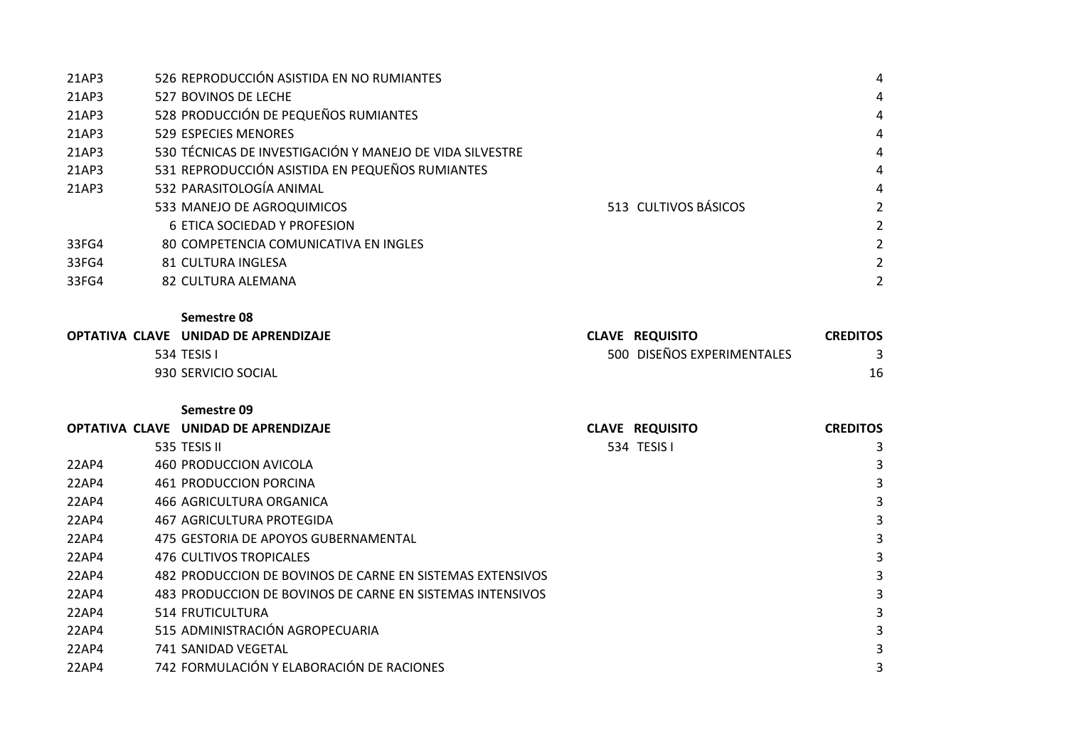| 21AP3 | 526 REPRODUCCIÓN ASISTIDA EN NO RUMIANTES                |                      | 4                     |
|-------|----------------------------------------------------------|----------------------|-----------------------|
| 21AP3 | 527 BOVINOS DE LECHE                                     |                      | 4                     |
| 21AP3 | 528 PRODUCCIÓN DE PEQUEÑOS RUMIANTES                     |                      | 4                     |
| 21AP3 | 529 ESPECIES MENORES                                     |                      | 4                     |
| 21AP3 | 530 TÉCNICAS DE INVESTIGACIÓN Y MANEJO DE VIDA SILVESTRE |                      | 4                     |
| 21AP3 | 531 REPRODUCCIÓN ASISTIDA EN PEQUEÑOS RUMIANTES          |                      | 4                     |
| 21AP3 | 532 PARASITOLOGÍA ANIMAL                                 |                      | 4                     |
|       | 533 MANEJO DE AGROQUIMICOS                               | 513 CULTIVOS BÁSICOS | $\mathcal{L}$         |
|       | 6 ETICA SOCIEDAD Y PROFESION                             |                      | $\mathcal{L}$         |
| 33FG4 | 80 COMPETENCIA COMUNICATIVA EN INGLES                    |                      | $\mathbf{2}^{\prime}$ |
| 33FG4 | 81 CULTURA INGLESA                                       |                      | $\mathbf{2}^{\prime}$ |
| 33FG4 | 82 CULTURA ALEMANA                                       |                      | $\mathbf{2}^{\prime}$ |
|       |                                                          |                      |                       |

**Semestre 08**

| OPTATIVA CLAVE UNIDAD DE APRENDIZAJE | <b>CLAVE REQUISITO</b>     | <b>CREDITOS</b> |
|--------------------------------------|----------------------------|-----------------|
| 534 TESIS I                          | 500 DISEÑOS EXPERIMENTALES |                 |
| 930 SERVICIO SOCIAL                  |                            |                 |

**Semestre 09**

|       | OPTATIVA CLAVE UNIDAD DE APRENDIZAJE                      | <b>CLAVE REQUISITO</b> | <b>CREDITOS</b> |
|-------|-----------------------------------------------------------|------------------------|-----------------|
|       | 535 TESIS II                                              | 534 TESIS I            |                 |
| 22AP4 | 460 PRODUCCION AVICOLA                                    |                        |                 |
| 22AP4 | 461 PRODUCCION PORCINA                                    |                        |                 |
| 22AP4 | 466 AGRICULTURA ORGANICA                                  |                        |                 |
| 22AP4 | 467 AGRICULTURA PROTEGIDA                                 |                        |                 |
| 22AP4 | 475 GESTORIA DE APOYOS GUBERNAMENTAL                      |                        |                 |
| 22AP4 | 476 CULTIVOS TROPICALES                                   |                        |                 |
| 22AP4 | 482 PRODUCCION DE BOVINOS DE CARNE EN SISTEMAS EXTENSIVOS |                        |                 |
| 22AP4 | 483 PRODUCCION DE BOVINOS DE CARNE EN SISTEMAS INTENSIVOS |                        |                 |
| 22AP4 | 514 FRUTICULTURA                                          |                        |                 |
| 22AP4 | 515 ADMINISTRACIÓN AGROPECUARIA                           |                        |                 |
| 22AP4 | 741 SANIDAD VEGETAL                                       |                        |                 |
| 22AP4 | 742 FORMULACIÓN Y ELABORACIÓN DE RACIONES                 |                        |                 |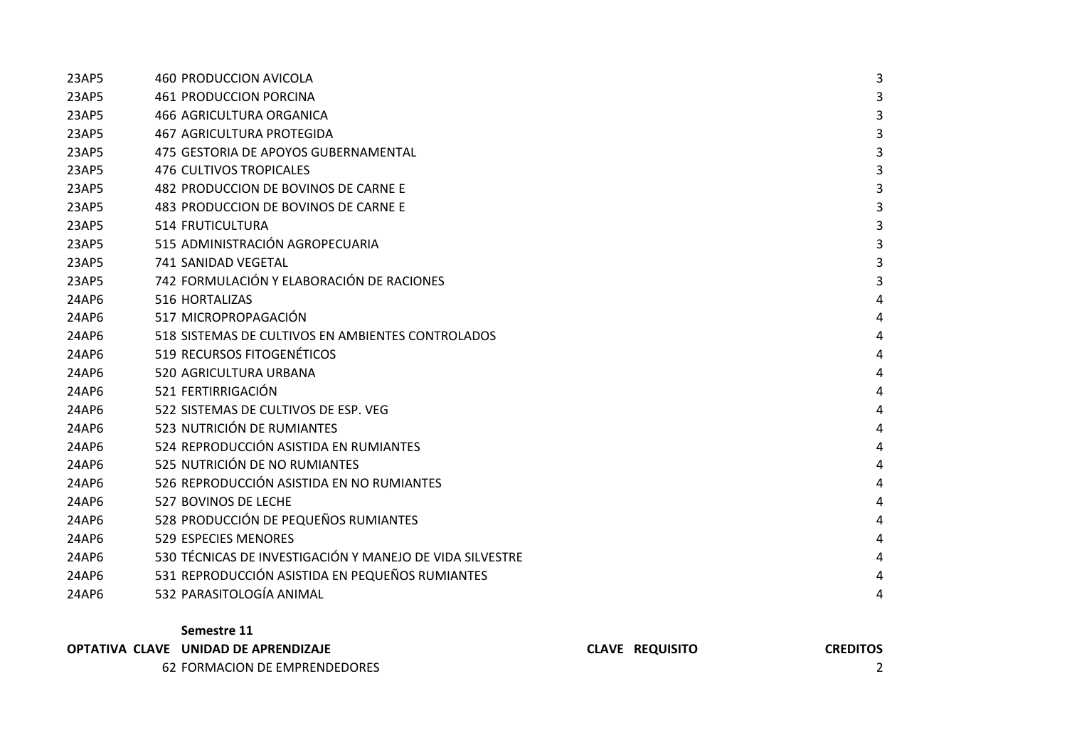| 23AP5 | 460 PRODUCCION AVICOLA                                   | 3 |
|-------|----------------------------------------------------------|---|
| 23AP5 | <b>461 PRODUCCION PORCINA</b>                            | 3 |
| 23AP5 | <b>466 AGRICULTURA ORGANICA</b>                          | 3 |
| 23AP5 | <b>467 AGRICULTURA PROTEGIDA</b>                         | 3 |
| 23AP5 | 475 GESTORIA DE APOYOS GUBERNAMENTAL                     | 3 |
| 23AP5 | <b>476 CULTIVOS TROPICALES</b>                           | 3 |
| 23AP5 | 482 PRODUCCION DE BOVINOS DE CARNE E                     | 3 |
| 23AP5 | 483 PRODUCCION DE BOVINOS DE CARNE E                     | 3 |
| 23AP5 | <b>514 FRUTICULTURA</b>                                  | 3 |
| 23AP5 | 515 ADMINISTRACIÓN AGROPECUARIA                          | 3 |
| 23AP5 | 741 SANIDAD VEGETAL                                      | 3 |
| 23AP5 | 742 FORMULACIÓN Y ELABORACIÓN DE RACIONES                | 3 |
| 24AP6 | 516 HORTALIZAS                                           | 4 |
| 24AP6 | 517 MICROPROPAGACIÓN                                     | 4 |
| 24AP6 | 518 SISTEMAS DE CULTIVOS EN AMBIENTES CONTROLADOS        | 4 |
| 24AP6 | 519 RECURSOS FITOGENÉTICOS                               | 4 |
| 24AP6 | 520 AGRICULTURA URBANA                                   | 4 |
| 24AP6 | 521 FERTIRRIGACIÓN                                       | 4 |
| 24AP6 | 522 SISTEMAS DE CULTIVOS DE ESP. VEG                     | 4 |
| 24AP6 | 523 NUTRICIÓN DE RUMIANTES                               | 4 |
| 24AP6 | 524 REPRODUCCIÓN ASISTIDA EN RUMIANTES                   | 4 |
| 24AP6 | 525 NUTRICIÓN DE NO RUMIANTES                            | 4 |
| 24AP6 | 526 REPRODUCCIÓN ASISTIDA EN NO RUMIANTES                | 4 |
| 24AP6 | 527 BOVINOS DE LECHE                                     | 4 |
| 24AP6 | 528 PRODUCCIÓN DE PEQUEÑOS RUMIANTES                     | 4 |
| 24AP6 | <b>529 ESPECIES MENORES</b>                              | 4 |
| 24AP6 | 530 TÉCNICAS DE INVESTIGACIÓN Y MANEJO DE VIDA SILVESTRE | 4 |
| 24AP6 | 531 REPRODUCCIÓN ASISTIDA EN PEQUEÑOS RUMIANTES          | 4 |
| 24AP6 | 532 PARASITOLOGÍA ANIMAL                                 | 4 |

**Semestre 11**

**OPTATIVA CLAVE UNIDAD DE APRENDIZAJE CLAVE REQUISITO CREDITOS**  62 FORMACION DE EMPRENDEDORES 2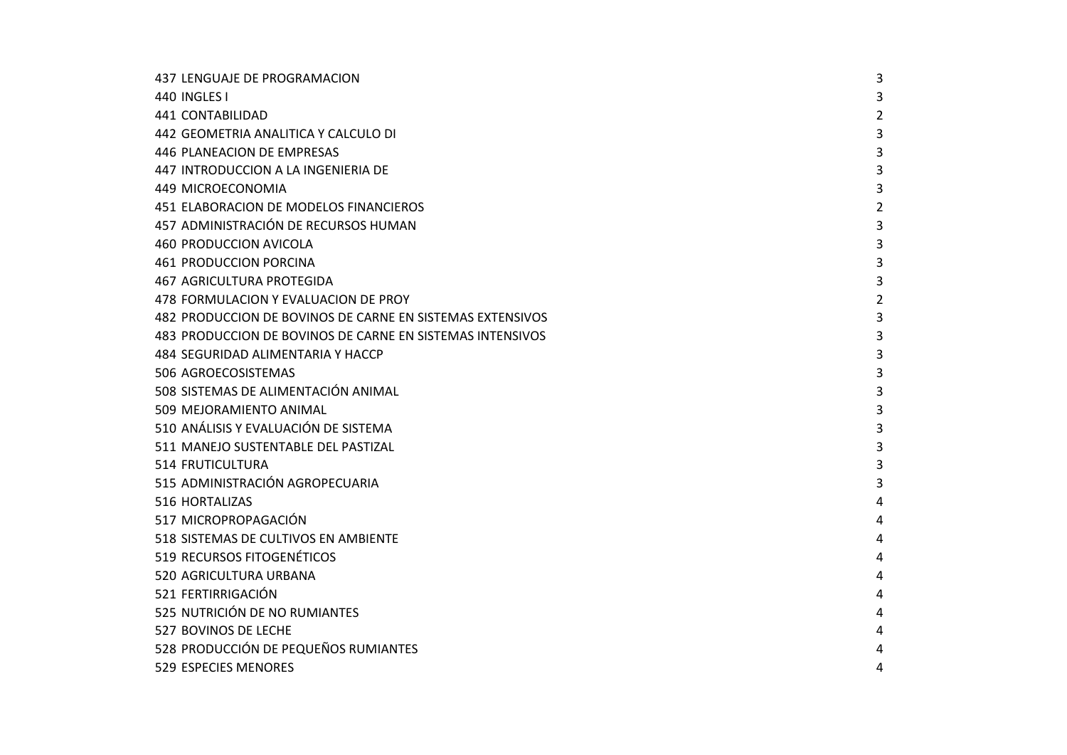| 437 LENGUAJE DE PROGRAMACION                              | 3              |
|-----------------------------------------------------------|----------------|
| 440 INGLES I                                              | 3              |
| 441 CONTABILIDAD                                          | $\overline{2}$ |
| 442 GEOMETRIA ANALITICA Y CALCULO DI                      | 3              |
| 446 PLANEACION DE EMPRESAS                                | 3              |
| 447 INTRODUCCION A LA INGENIERIA DE                       | 3              |
| 449 MICROECONOMIA                                         | 3              |
| 451 ELABORACION DE MODELOS FINANCIEROS                    | $\overline{2}$ |
| 457 ADMINISTRACIÓN DE RECURSOS HUMAN                      | 3              |
| 460 PRODUCCION AVICOLA                                    | 3              |
| <b>461 PRODUCCION PORCINA</b>                             | 3              |
| <b>467 AGRICULTURA PROTEGIDA</b>                          | 3              |
| 478 FORMULACION Y EVALUACION DE PROY                      | $\overline{2}$ |
| 482 PRODUCCION DE BOVINOS DE CARNE EN SISTEMAS EXTENSIVOS | 3              |
| 483 PRODUCCION DE BOVINOS DE CARNE EN SISTEMAS INTENSIVOS | 3              |
| 484 SEGURIDAD ALIMENTARIA Y HACCP                         | 3              |
| 506 AGROECOSISTEMAS                                       | 3              |
| 508 SISTEMAS DE ALIMENTACIÓN ANIMAL                       | 3              |
| 509 MEJORAMIENTO ANIMAL                                   | 3              |
| 510 ANÁLISIS Y EVALUACIÓN DE SISTEMA                      | 3              |
| 511 MANEJO SUSTENTABLE DEL PASTIZAL                       | 3              |
| <b>514 FRUTICULTURA</b>                                   | 3              |
| 515 ADMINISTRACIÓN AGROPECUARIA                           | 3              |
| 516 HORTALIZAS                                            | 4              |
| 517 MICROPROPAGACIÓN                                      | 4              |
| 518 SISTEMAS DE CULTIVOS EN AMBIENTE                      | 4              |
| 519 RECURSOS FITOGENÉTICOS                                | 4              |
| 520 AGRICULTURA URBANA                                    | 4              |
| 521 FERTIRRIGACIÓN                                        | 4              |
| 525 NUTRICIÓN DE NO RUMIANTES                             | 4              |
| 527 BOVINOS DE LECHE                                      | 4              |
| 528 PRODUCCIÓN DE PEQUEÑOS RUMIANTES                      | 4              |
| 529 ESPECIES MENORES                                      | 4              |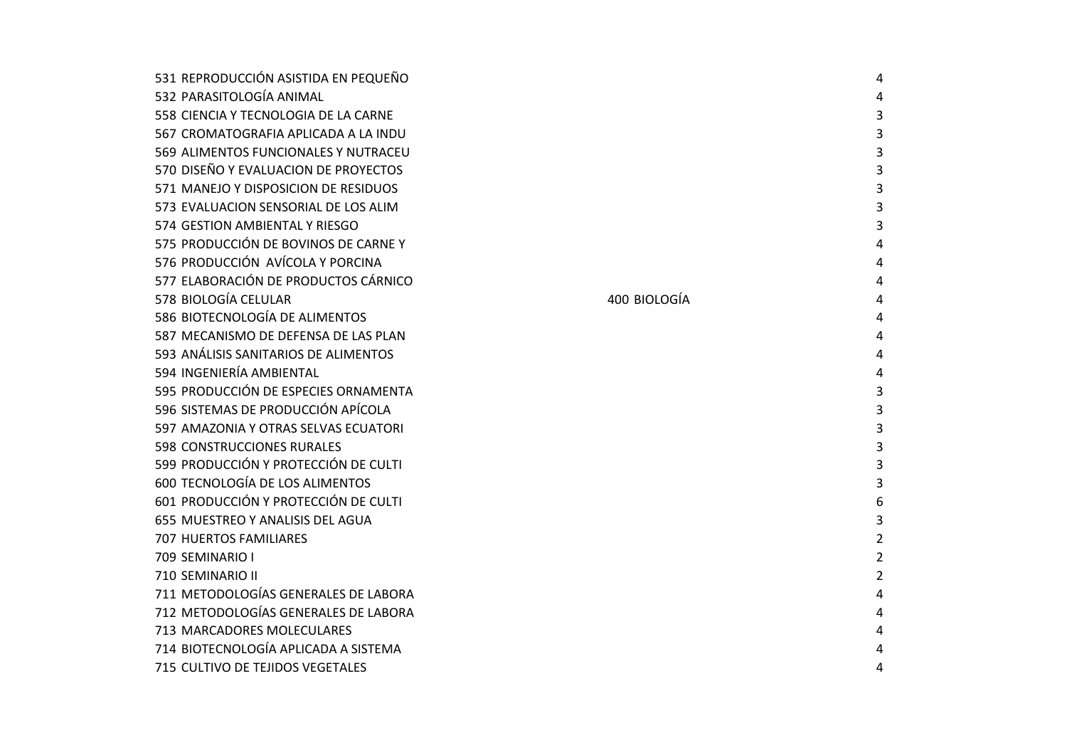| 531 REPRODUCCIÓN ASISTIDA EN PEQUEÑO |              | 4              |
|--------------------------------------|--------------|----------------|
| 532 PARASITOLOGÍA ANIMAL             |              | 4              |
| 558 CIENCIA Y TECNOLOGIA DE LA CARNE |              | 3              |
| 567 CROMATOGRAFIA APLICADA A LA INDU |              | 3              |
| 569 ALIMENTOS FUNCIONALES Y NUTRACEU |              | 3              |
| 570 DISEÑO Y EVALUACION DE PROYECTOS |              | 3              |
| 571 MANEJO Y DISPOSICION DE RESIDUOS |              | 3              |
| 573 EVALUACION SENSORIAL DE LOS ALIM |              | 3              |
| 574 GESTION AMBIENTAL Y RIESGO       |              | 3              |
| 575 PRODUCCIÓN DE BOVINOS DE CARNEY  |              | 4              |
| 576 PRODUCCIÓN AVÍCOLA Y PORCINA     |              | 4              |
| 577 ELABORACIÓN DE PRODUCTOS CÁRNICO |              | 4              |
| 578 BIOLOGÍA CELULAR                 | 400 BIOLOGÍA | 4              |
| 586 BIOTECNOLOGÍA DE ALIMENTOS       |              | 4              |
| 587 MECANISMO DE DEFENSA DE LAS PLAN |              | 4              |
| 593 ANÁLISIS SANITARIOS DE ALIMENTOS |              | 4              |
| 594 INGENIERÍA AMBIENTAL             |              | 4              |
| 595 PRODUCCIÓN DE ESPECIES ORNAMENTA |              | 3              |
| 596 SISTEMAS DE PRODUCCIÓN APÍCOLA   |              | 3              |
| 597 AMAZONIA Y OTRAS SELVAS ECUATORI |              | 3              |
| 598 CONSTRUCCIONES RURALES           |              | 3              |
| 599 PRODUCCIÓN Y PROTECCIÓN DE CULTI |              | 3              |
| 600 TECNOLOGÍA DE LOS ALIMENTOS      |              | 3              |
| 601 PRODUCCIÓN Y PROTECCIÓN DE CULTI |              | 6              |
| 655 MUESTREO Y ANALISIS DEL AGUA     |              | 3              |
| <b>707 HUERTOS FAMILIARES</b>        |              | $\overline{2}$ |
| 709 SEMINARIO I                      |              | $\overline{2}$ |
| 710 SEMINARIO II                     |              | $\overline{2}$ |
| 711 METODOLOGÍAS GENERALES DE LABORA |              | 4              |
| 712 METODOLOGÍAS GENERALES DE LABORA |              | 4              |
| 713 MARCADORES MOLECULARES           |              | 4              |
| 714 BIOTECNOLOGÍA APLICADA A SISTEMA |              | 4              |
| 715 CULTIVO DE TEJIDOS VEGETALES     |              | 4              |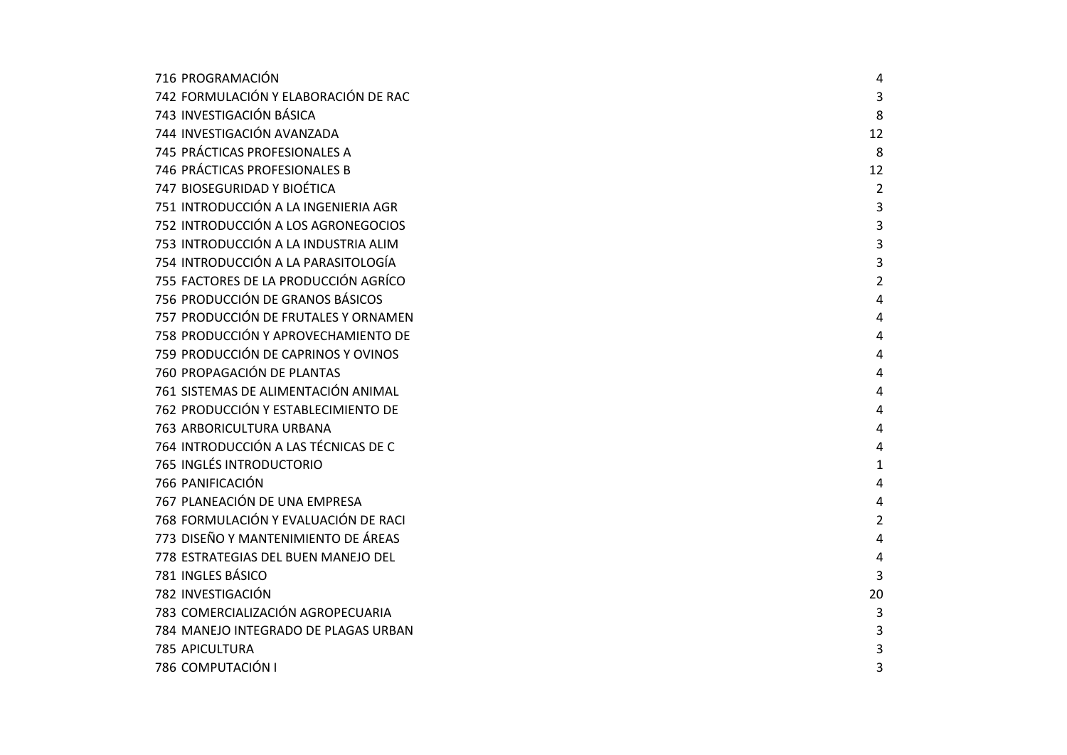| 716 PROGRAMACIÓN                     | 4              |
|--------------------------------------|----------------|
| 742 FORMULACIÓN Y ELABORACIÓN DE RAC | 3              |
| 743 INVESTIGACIÓN BÁSICA             | 8              |
| 744 INVESTIGACIÓN AVANZADA           | 12             |
| 745 PRÁCTICAS PROFESIONALES A        | 8              |
| 746 PRÁCTICAS PROFESIONALES B        | 12             |
| 747 BIOSEGURIDAD Y BIOÉTICA          | $\overline{2}$ |
| 751 INTRODUCCIÓN A LA INGENIERIA AGR | 3              |
| 752 INTRODUCCIÓN A LOS AGRONEGOCIOS  | 3              |
| 753 INTRODUCCIÓN A LA INDUSTRIA ALIM | 3              |
| 754 INTRODUCCIÓN A LA PARASITOLOGÍA  | 3              |
| 755 FACTORES DE LA PRODUCCIÓN AGRÍCO | 2              |
| 756 PRODUCCIÓN DE GRANOS BÁSICOS     | 4              |
| 757 PRODUCCIÓN DE FRUTALES Y ORNAMEN | 4              |
| 758 PRODUCCIÓN Y APROVECHAMIENTO DE  | 4              |
| 759 PRODUCCIÓN DE CAPRINOS Y OVINOS  | 4              |
| 760 PROPAGACIÓN DE PLANTAS           | 4              |
| 761 SISTEMAS DE ALIMENTACIÓN ANIMAL  | 4              |
| 762 PRODUCCIÓN Y ESTABLECIMIENTO DE  | 4              |
| 763 ARBORICULTURA URBANA             | 4              |
| 764 INTRODUCCIÓN A LAS TÉCNICAS DE C | 4              |
| 765 INGLÉS INTRODUCTORIO             | 1              |
| 766 PANIFICACIÓN                     | 4              |
| 767 PLANEACIÓN DE UNA EMPRESA        | 4              |
| 768 FORMULACIÓN Y EVALUACIÓN DE RACI | $\overline{2}$ |
| 773 DISEÑO Y MANTENIMIENTO DE ÁREAS  | 4              |
| 778 ESTRATEGIAS DEL BUEN MANEJO DEL  | 4              |
| 781 INGLES BÁSICO                    | 3              |
| 782 INVESTIGACIÓN                    | 20             |
| 783 COMERCIALIZACIÓN AGROPECUARIA    | 3              |
| 784 MANEJO INTEGRADO DE PLAGAS URBAN | 3              |
| 785 APICULTURA                       | 3              |
| 786 COMPUTACIÓN I                    | 3              |